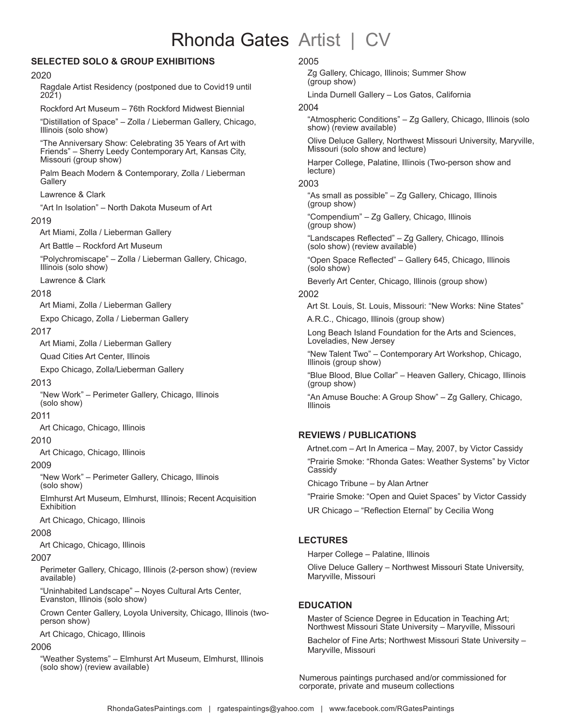# Rhonda Gates Artist | CV

# **SELECTED SOLO & GROUP EXHIBITIONS**

#### 2020

 Ragdale Artist Residency (postponed due to Covid19 until 2021)

Rockford Art Museum – 76th Rockford Midwest Biennial

"Distillation of Space" – Zolla / Lieberman Gallery, Chicago, Illinois (solo show)

"The Anniversary Show: Celebrating 35 Years of Art with Friends" – Sherry Leedy Contemporary Art, Kansas City, Missouri (group show)

Palm Beach Modern & Contemporary, Zolla / Lieberman **Gallery** 

Lawrence & Clark

"Art In Isolation" – North Dakota Museum of Art

#### 2019

Art Miami, Zolla / Lieberman Gallery

Art Battle – Rockford Art Museum

 "Polychromiscape" – Zolla / Lieberman Gallery, Chicago, Illinois (solo show)

Lawrence & Clark

## 2018

Art Miami, Zolla / Lieberman Gallery

Expo Chicago, Zolla / Lieberman Gallery

## 2017

Art Miami, Zolla / Lieberman Gallery

Quad Cities Art Center, Illinois

Expo Chicago, Zolla/Lieberman Gallery

#### 2013

 "New Work" – Perimeter Gallery, Chicago, Illinois (solo show)

## 2011

Art Chicago, Chicago, Illinois

## 2010

Art Chicago, Chicago, Illinois

## 2009

 "New Work" – Perimeter Gallery, Chicago, Illinois (solo show)

 Elmhurst Art Museum, Elmhurst, Illinois; Recent Acquisition **Exhibition** 

Art Chicago, Chicago, Illinois

# 2008

Art Chicago, Chicago, Illinois

## 2007

 Perimeter Gallery, Chicago, Illinois (2-person show) (review available)

 "Uninhabited Landscape" – Noyes Cultural Arts Center, Evanston, Illinois (solo show)

 Crown Center Gallery, Loyola University, Chicago, Illinois (twoperson show)

Art Chicago, Chicago, Illinois

## 2006

 "Weather Systems" – Elmhurst Art Museum, Elmhurst, Illinois (solo show) (review available)

#### 2005

 Zg Gallery, Chicago, Illinois; Summer Show (group show)

Linda Durnell Gallery – Los Gatos, California

#### 2004

 "Atmospheric Conditions" – Zg Gallery, Chicago, Illinois (solo show) (review available)

 Olive Deluce Gallery, Northwest Missouri University, Maryville, Missouri (solo show and lecture)

 Harper College, Palatine, Illinois (Two-person show and lecture)

## 2003

 "As small as possible" – Zg Gallery, Chicago, Illinois (group show)

 "Compendium" – Zg Gallery, Chicago, Illinois (group show)

 "Landscapes Reflected" – Zg Gallery, Chicago, Illinois (solo show) (review available)

 "Open Space Reflected" – Gallery 645, Chicago, Illinois (solo show)

Beverly Art Center, Chicago, Illinois (group show)

## 2002

Art St. Louis, St. Louis, Missouri: "New Works: Nine States"

A.R.C., Chicago, Illinois (group show)

 Long Beach Island Foundation for the Arts and Sciences, Loveladies, New Jersey

 "New Talent Two" – Contemporary Art Workshop, Chicago, Illinois (group show)

 "Blue Blood, Blue Collar" – Heaven Gallery, Chicago, Illinois (group show)

 "An Amuse Bouche: A Group Show" – Zg Gallery, Chicago, Illinois

## **REVIEWS / PUBLICATIONS**

 Artnet.com – Art In America – May, 2007, by Victor Cassidy "Prairie Smoke: "Rhonda Gates: Weather Systems" by Victor Cassidy

Chicago Tribune – by Alan Artner

"Prairie Smoke: "Open and Quiet Spaces" by Victor Cassidy

UR Chicago – "Reflection Eternal" by Cecilia Wong

## **LECTURES**

Harper College – Palatine, Illinois

 Olive Deluce Gallery – Northwest Missouri State University, Maryville, Missouri

## **EDUCATION**

 Master of Science Degree in Education in Teaching Art; Northwest Missouri State University – Maryville, Missouri

 Bachelor of Fine Arts; Northwest Missouri State University – Maryville, Missouri

Numerous paintings purchased and/or commissioned for corporate, private and museum collections